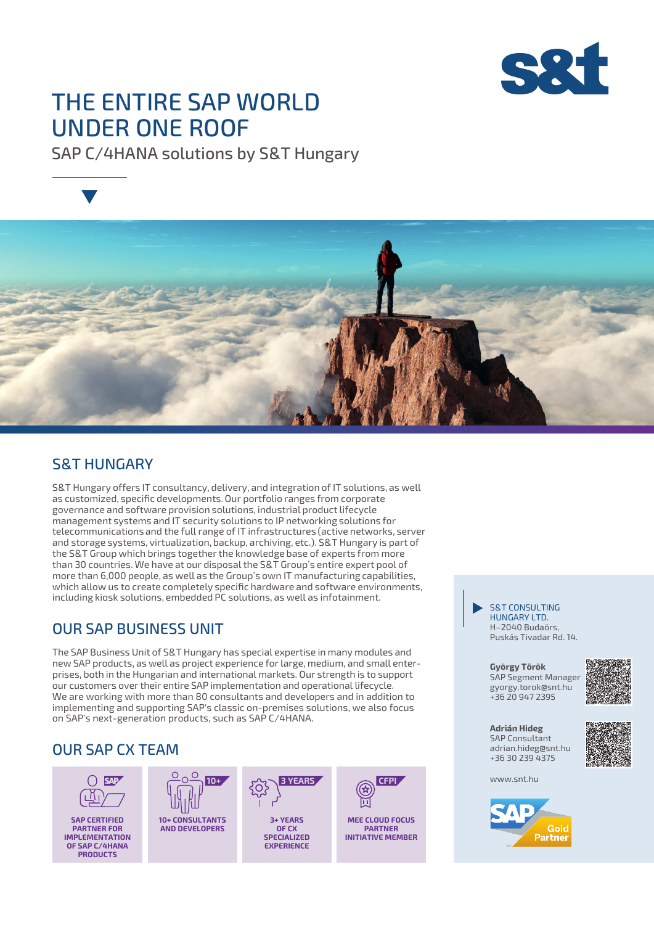

# THE ENTIRE SAP WORLD UNDER ONE ROOF

SAP C/4HANA solutions by S&T Hungary



### S&T HUNGARY

S&T Hungary offers IT consultancy, delivery, and integration of IT solutions, as well as customized, specific developments. Our portfolio ranges from corporate governance and software provision solutions, industrial product lifecycle management systems and IT security solutions to IP networking solutions for telecommunications and the full range of IT infrastructures (active networks, server and storage systems, virtualization, backup, archiving, etc.). S&T Hungary is part of the S&T Group which brings together the knowledge base of experts from more than 30 countries. We have at our disposal the S&T Group's entire expert pool of more than 6,000 people, as well as the Group's own IT manufacturing capabilities, which allow us to create completely specific hardware and software environments, including kiosk solutions, embedded PC solutions, as well as infotainment.

### OUR SAP BUSINESS UNIT

The SAP Business Unit of S&T Hungary has special expertise in many modules and new SAP products, as well as project experience for large, medium, and small enterprises, both in the Hungarian and international markets. Our strength is to support our customers over their entire SAP implementation and operational lifecycle. We are working with more than 80 consultants and developers and in addition to implementing and supporting SAP's classic on-premises solutions, we also focus on SAP's next-generation products, such as SAP C/4HANA.

## OUR SAP CX TEAM



**SAP CERTIFIED PARTNER FOR IMPLEMENTATION OF SAP C/4HANA PRODUCTS**





**3+ YEARS OF CX SPECIALIZED EXPERIENCE** 



**MEE CLOUD FOCUS PARTNER INITIATIVE MEMBER**

#### HUNGARY LTD. H–2040 Budaörs, Puskás Tivadar Rd. 14. S&T CONSULTING "

SAP Segment Manager gyorgy.torok@snt.hu **György Török** +36 20 947 2395



+36 30 239 4375 adrian.hideg@snt.hu SAP Consultant **Adrián Hideg**



www.snt.hu